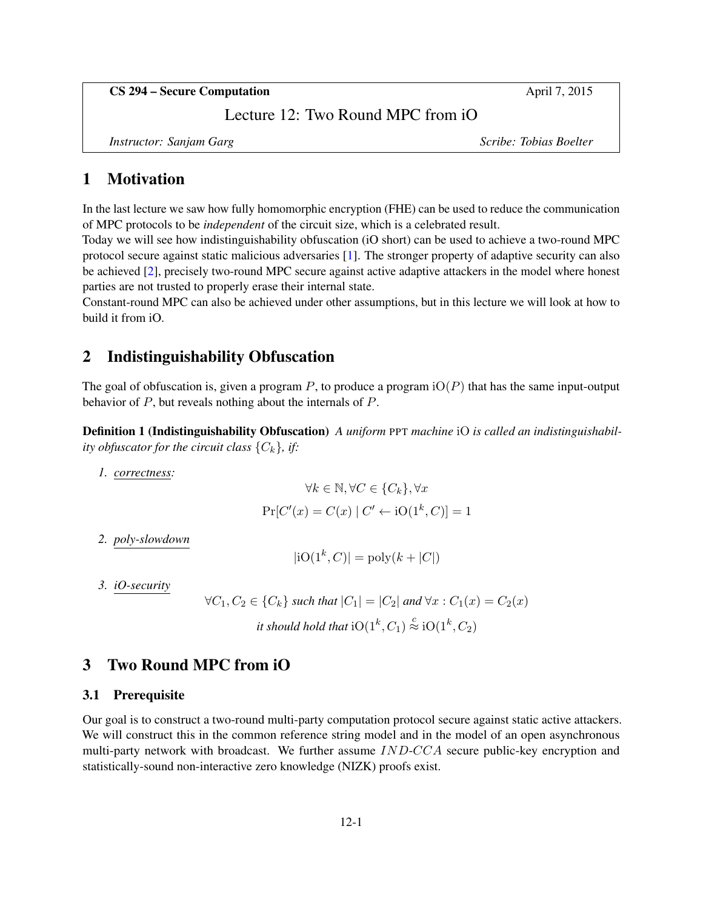CS 294 – Secure Computation **April 7, 2015** 

# Lecture 12: Two Round MPC from iO

*Instructor: Sanjam Garg* Scribe: Tobias Boelter

# 1 Motivation

In the last lecture we saw how fully homomorphic encryption (FHE) can be used to reduce the communication of MPC protocols to be *independent* of the circuit size, which is a celebrated result.

Today we will see how indistinguishability obfuscation (iO short) can be used to achieve a two-round MPC protocol secure against static malicious adversaries [\[1\]](#page-2-0). The stronger property of adaptive security can also be achieved [\[2\]](#page-2-1), precisely two-round MPC secure against active adaptive attackers in the model where honest parties are not trusted to properly erase their internal state.

Constant-round MPC can also be achieved under other assumptions, but in this lecture we will look at how to build it from iO.

# 2 Indistinguishability Obfuscation

The goal of obfuscation is, given a program  $P$ , to produce a program  $O(P)$  that has the same input-output behavior of P, but reveals nothing about the internals of P.

Definition 1 (Indistinguishability Obfuscation) *A uniform* PPT *machine* iO *is called an indistinguishability obfuscator for the circuit class*  $\{C_k\}$ *, if:* 

*1. correctness:*

$$
\forall k \in \mathbb{N}, \forall C \in \{C_k\}, \forall x
$$

$$
Pr[C'(x) = C(x) | C' \leftarrow iO(1^k, C)] = 1
$$

*2. poly-slowdown*

$$
|\mathrm{iO}(1^k, C)| = \mathrm{poly}(k + |C|)
$$

*3. iO-security*

$$
\forall C_1, C_2 \in \{C_k\} \text{ such that } |C_1| = |C_2| \text{ and } \forall x : C_1(x) = C_2(x)
$$
  
it should hold that 
$$
iO(1^k, C_1) \stackrel{c}{\approx} iO(1^k, C_2)
$$

# 3 Two Round MPC from iO

## 3.1 Prerequisite

Our goal is to construct a two-round multi-party computation protocol secure against static active attackers. We will construct this in the common reference string model and in the model of an open asynchronous multi-party network with broadcast. We further assume  $IND-CCA$  secure public-key encryption and statistically-sound non-interactive zero knowledge (NIZK) proofs exist.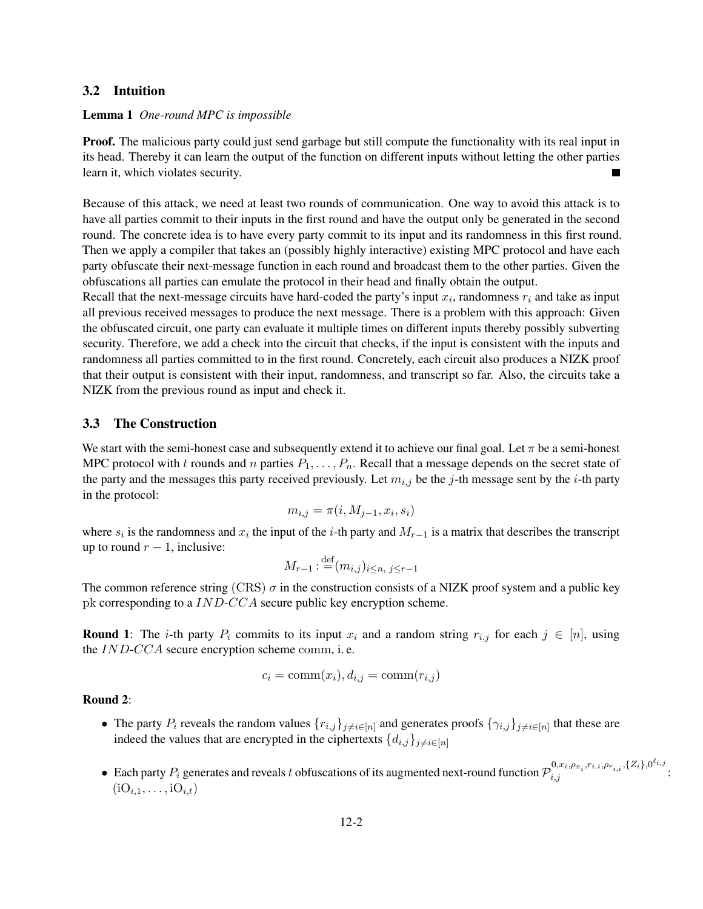#### 3.2 Intuition

#### Lemma 1 *One-round MPC is impossible*

**Proof.** The malicious party could just send garbage but still compute the functionality with its real input in its head. Thereby it can learn the output of the function on different inputs without letting the other parties learn it, which violates security.  $\blacksquare$ 

Because of this attack, we need at least two rounds of communication. One way to avoid this attack is to have all parties commit to their inputs in the first round and have the output only be generated in the second round. The concrete idea is to have every party commit to its input and its randomness in this first round. Then we apply a compiler that takes an (possibly highly interactive) existing MPC protocol and have each party obfuscate their next-message function in each round and broadcast them to the other parties. Given the obfuscations all parties can emulate the protocol in their head and finally obtain the output.

Recall that the next-message circuits have hard-coded the party's input  $x_i$ , randomness  $r_i$  and take as input all previous received messages to produce the next message. There is a problem with this approach: Given the obfuscated circuit, one party can evaluate it multiple times on different inputs thereby possibly subverting security. Therefore, we add a check into the circuit that checks, if the input is consistent with the inputs and randomness all parties committed to in the first round. Concretely, each circuit also produces a NIZK proof that their output is consistent with their input, randomness, and transcript so far. Also, the circuits take a NIZK from the previous round as input and check it.

### 3.3 The Construction

We start with the semi-honest case and subsequently extend it to achieve our final goal. Let  $\pi$  be a semi-honest MPC protocol with t rounds and n parties  $P_1, \ldots, P_n$ . Recall that a message depends on the secret state of the party and the messages this party received previously. Let  $m_{i,j}$  be the j-th message sent by the *i*-th party in the protocol:

$$
m_{i,j} = \pi(i, M_{j-1}, x_i, s_i)
$$

where  $s_i$  is the randomness and  $x_i$  the input of the *i*-th party and  $M_{r-1}$  is a matrix that describes the transcript up to round  $r - 1$ , inclusive:

$$
M_{r-1} : \stackrel{\text{def}}{=} (m_{i,j})_{i \leq n, j \leq r-1}
$$

The common reference string (CRS)  $\sigma$  in the construction consists of a NIZK proof system and a public key pk corresponding to a IND-CCA secure public key encryption scheme.

**Round 1:** The *i*-th party  $P_i$  commits to its input  $x_i$  and a random string  $r_{i,j}$  for each  $j \in [n]$ , using the  $IND-CCA$  secure encryption scheme comm, i.e.

$$
c_i = \text{comm}(x_i), d_{i,j} = \text{comm}(r_{i,j})
$$

#### Round 2:

- The party  $P_i$  reveals the random values  $\{r_{i,j}\}_{j\neq i\in[n]}$  and generates proofs  $\{\gamma_{i,j}\}_{j\neq i\in[n]}$  that these are indeed the values that are encrypted in the ciphertexts  $\{d_{i,j}\}_{j\neq i\in[n]}$
- Each party  $P_i$  generates and reveals t obfuscations of its augmented next-round function  $\mathcal{P}_{i,j}^{0,x_i,\rho_{x_i},r_{i,i},\rho_{r_{i,i}},\{Z_i\},0^{\ell_{i,j}}}$  $i,j$  :  $i, j$  :  $i, i, r, i, j$  :  $(i,j)$  $(iO_{i,1}, \ldots, iO_{i,t})$